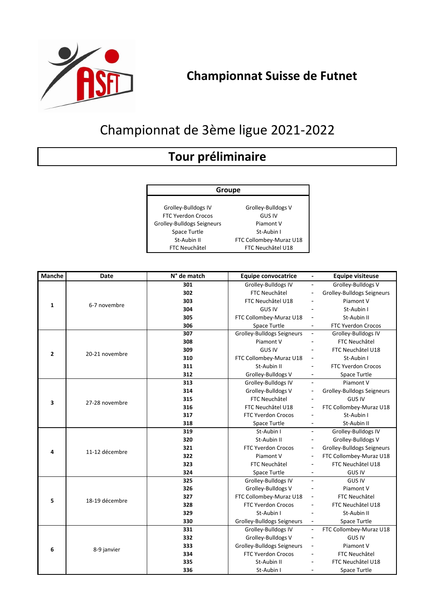

## Championnat de 3ème ligue 2021-2022

## **Tour préliminaire**

Grolley-Bulldogs IV Grolley-Bulldogs V FTC Yverdon Crocos GUS IV Grolley-Bulldogs Seigneurs Piamont V Space Turtle Space Turtle St-Aubin I St-Aubin II FTC Collombey-Muraz U18<br>FTC Neuchâtel FTC Neuchâtel U18 **Groupe**

FTC Neuchâtel U18

| <b>Manche</b>  | <b>Date</b>    | N° de match | <b>Equipe convocatrice</b>        |                          | <b>Equipe visiteuse</b>           |
|----------------|----------------|-------------|-----------------------------------|--------------------------|-----------------------------------|
| 1              | 6-7 novembre   | 301         | Grolley-Bulldogs IV               | $\overline{\phantom{0}}$ | Grolley-Bulldogs V                |
|                |                | 302         | FTC Neuchâtel                     | -                        | <b>Grolley-Bulldogs Seigneurs</b> |
|                |                | 303         | FTC Neuchâtel U18                 |                          | Piamont V                         |
|                |                | 304         | <b>GUS IV</b>                     |                          | St-Aubin I                        |
|                |                | 305         | FTC Collombey-Muraz U18           | $\overline{\phantom{a}}$ | St-Aubin II                       |
|                |                | 306         | Space Turtle                      |                          | <b>FTC Yverdon Crocos</b>         |
| $\overline{2}$ |                | 307         | Grolley-Bulldogs Seigneurs        | $\overline{\phantom{a}}$ | Grolley-Bulldogs IV               |
|                |                | 308         | Piamont V                         |                          | FTC Neuchâtel                     |
|                | 20-21 novembre | 309         | <b>GUS IV</b>                     |                          | FTC Neuchâtel U18                 |
|                |                | 310         | FTC Collombey-Muraz U18           | $\overline{\phantom{a}}$ | St-Aubin I                        |
|                |                | 311         | St-Aubin II                       | $\overline{\phantom{a}}$ | <b>FTC Yverdon Crocos</b>         |
|                |                | 312         | Grolley-Bulldogs V                | $\blacksquare$           | Space Turtle                      |
|                | 27-28 novembre | 313         | Grolley-Bulldogs IV               |                          | Piamont V                         |
|                |                | 314         | Grolley-Bulldogs V                |                          | <b>Grolley-Bulldogs Seigneurs</b> |
| 3              |                | 315         | FTC Neuchâtel                     |                          | <b>GUS IV</b>                     |
|                |                | 316         | FTC Neuchâtel U18                 | $\overline{\phantom{a}}$ | FTC Collombey-Muraz U18           |
|                |                | 317         | FTC Yverdon Crocos                | -                        | St-Aubin I                        |
|                |                | 318         | <b>Space Turtle</b>               |                          | St-Aubin II                       |
|                |                | 319         | St-Aubin I                        | $\overline{\phantom{a}}$ | Grolley-Bulldogs IV               |
|                | 11-12 décembre | 320         | St-Aubin II                       | -                        | Grolley-Bulldogs V                |
| 4              |                | 321         | <b>FTC Yverdon Crocos</b>         | $\overline{\phantom{a}}$ | Grolley-Bulldogs Seigneurs        |
|                |                | 322         | Piamont V                         | $\overline{\phantom{a}}$ | FTC Collombey-Muraz U18           |
|                |                | 323         | FTC Neuchâtel                     | $\overline{\phantom{a}}$ | FTC Neuchâtel U18                 |
|                |                | 324         | Space Turtle                      | $\overline{\phantom{a}}$ | <b>GUS IV</b>                     |
|                | 18-19 décembre | 325         | Grolley-Bulldogs IV               |                          | <b>GUS IV</b>                     |
|                |                | 326         | Grolley-Bulldogs V                |                          | Piamont V                         |
| 5              |                | 327         | FTC Collombey-Muraz U18           | $\overline{\phantom{a}}$ | FTC Neuchâtel                     |
|                |                | 328         | <b>FTC Yverdon Crocos</b>         |                          | FTC Neuchâtel U18                 |
|                |                | 329         | St-Aubin I                        |                          | St-Aubin II                       |
|                |                | 330         | <b>Grolley-Bulldogs Seigneurs</b> |                          | <b>Space Turtle</b>               |
| 6              | 8-9 janvier    | 331         | Grolley-Bulldogs IV               |                          | FTC Collombey-Muraz U18           |
|                |                | 332         | Grolley-Bulldogs V                |                          | <b>GUS IV</b>                     |
|                |                | 333         | <b>Grolley-Bulldogs Seigneurs</b> |                          | Piamont V                         |
|                |                | 334         | <b>FTC Yverdon Crocos</b>         |                          | FTC Neuchâtel                     |
|                |                | 335         | St-Aubin II                       |                          | FTC Neuchâtel U18                 |
|                |                | 336         | St-Aubin I                        |                          | Space Turtle                      |